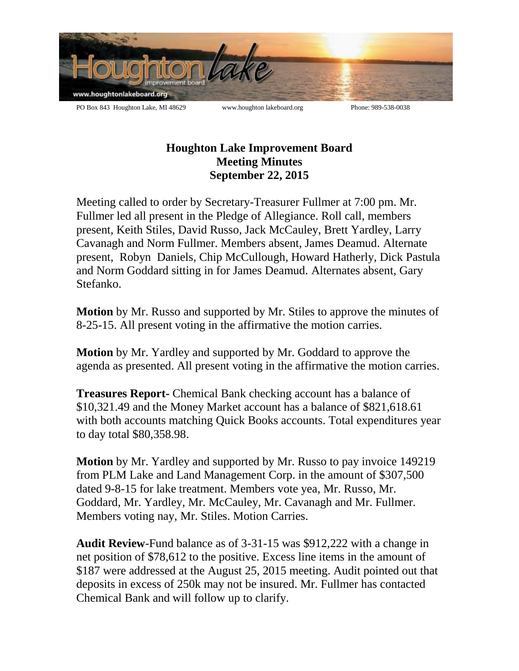

## **Houghton Lake Improvement Board Meeting Minutes September 22, 2015**

Meeting called to order by Secretary-Treasurer Fullmer at 7:00 pm. Mr. Fullmer led all present in the Pledge of Allegiance. Roll call, members present, Keith Stiles, David Russo, Jack McCauley, Brett Yardley, Larry Cavanagh and Norm Fullmer. Members absent, James Deamud. Alternate present, Robyn Daniels, Chip McCullough, Howard Hatherly, Dick Pastula and Norm Goddard sitting in for James Deamud. Alternates absent, Gary Stefanko.

**Motion** by Mr. Russo and supported by Mr. Stiles to approve the minutes of 8-25-15. All present voting in the affirmative the motion carries.

**Motion** by Mr. Yardley and supported by Mr. Goddard to approve the agenda as presented. All present voting in the affirmative the motion carries.

**Treasures Report-** Chemical Bank checking account has a balance of \$10,321.49 and the Money Market account has a balance of \$821,618.61 with both accounts matching Quick Books accounts. Total expenditures year to day total \$80,358.98.

**Motion** by Mr. Yardley and supported by Mr. Russo to pay invoice 149219 from PLM Lake and Land Management Corp. in the amount of \$307,500 dated 9-8-15 for lake treatment. Members vote yea, Mr. Russo, Mr. Goddard, Mr. Yardley, Mr. McCauley, Mr. Cavanagh and Mr. Fullmer. Members voting nay, Mr. Stiles. Motion Carries.

**Audit Review**-Fund balance as of 3-31-15 was \$912,222 with a change in net position of \$78,612 to the positive. Excess line items in the amount of \$187 were addressed at the August 25, 2015 meeting. Audit pointed out that deposits in excess of 250k may not be insured. Mr. Fullmer has contacted Chemical Bank and will follow up to clarify.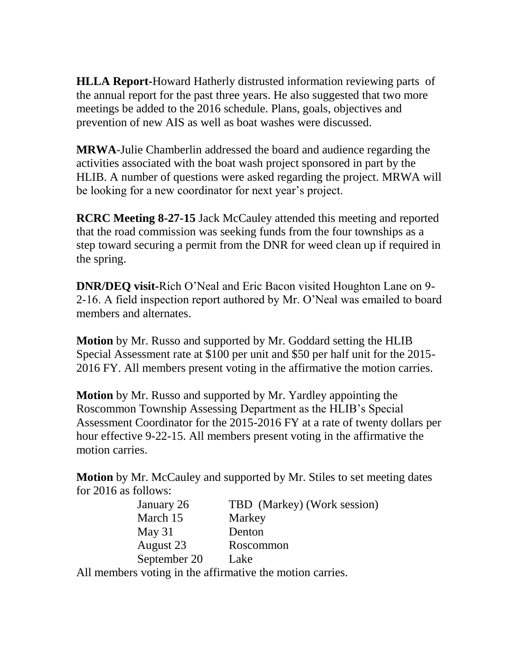**HLLA Report-**Howard Hatherly distrusted information reviewing parts of the annual report for the past three years. He also suggested that two more meetings be added to the 2016 schedule. Plans, goals, objectives and prevention of new AIS as well as boat washes were discussed.

**MRWA**-Julie Chamberlin addressed the board and audience regarding the activities associated with the boat wash project sponsored in part by the HLIB. A number of questions were asked regarding the project. MRWA will be looking for a new coordinator for next year's project.

**RCRC Meeting 8-27-15** Jack McCauley attended this meeting and reported that the road commission was seeking funds from the four townships as a step toward securing a permit from the DNR for weed clean up if required in the spring.

**DNR/DEQ visit-**Rich O'Neal and Eric Bacon visited Houghton Lane on 9- 2-16. A field inspection report authored by Mr. O'Neal was emailed to board members and alternates.

**Motion** by Mr. Russo and supported by Mr. Goddard setting the HLIB Special Assessment rate at \$100 per unit and \$50 per half unit for the 2015- 2016 FY. All members present voting in the affirmative the motion carries.

**Motion** by Mr. Russo and supported by Mr. Yardley appointing the Roscommon Township Assessing Department as the HLIB's Special Assessment Coordinator for the 2015-2016 FY at a rate of twenty dollars per hour effective 9-22-15. All members present voting in the affirmative the motion carries.

**Motion** by Mr. McCauley and supported by Mr. Stiles to set meeting dates for 2016 as follows:

| January 26   | TBD (Markey) (Work session) |
|--------------|-----------------------------|
| March 15     | Markey                      |
| May $31$     | Denton                      |
| August 23    | Roscommon                   |
| September 20 | Lake                        |

All members voting in the affirmative the motion carries.